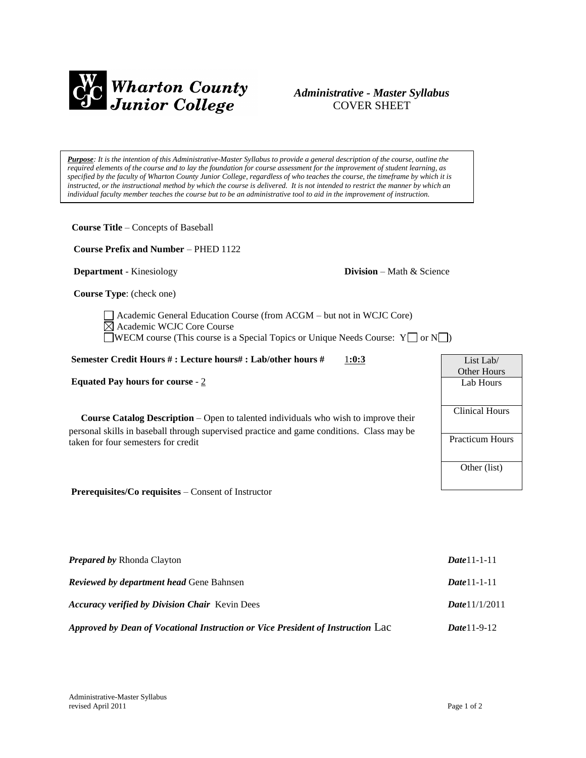

## *Administrative - Master Syllabus*  COVER SHEET

*Purpose: It is the intention of this Administrative-Master Syllabus to provide a general description of the course, outline the required elements of the course and to lay the foundation for course assessment for the improvement of student learning, as specified by the faculty of Wharton County Junior College, regardless of who teaches the course, the timeframe by which it is instructed, or the instructional method by which the course is delivered. It is not intended to restrict the manner by which an individual faculty member teaches the course but to be an administrative tool to aid in the improvement of instruction.*

| <b>Course Title - Concepts of Baseball</b>                                                                                                                                                                                     |                                     |                                                 |
|--------------------------------------------------------------------------------------------------------------------------------------------------------------------------------------------------------------------------------|-------------------------------------|-------------------------------------------------|
| <b>Course Prefix and Number – PHED 1122</b>                                                                                                                                                                                    |                                     |                                                 |
| <b>Department</b> - Kinesiology                                                                                                                                                                                                | <b>Division</b> – Math $\&$ Science |                                                 |
| Course Type: (check one)                                                                                                                                                                                                       |                                     |                                                 |
| Academic General Education Course (from ACGM - but not in WCJC Core)<br>$\boxtimes$ Academic WCJC Core Course<br>WECM course (This course is a Special Topics or Unique Needs Course: $Y \cap Y$                               |                                     |                                                 |
| Semester Credit Hours #: Lecture hours#: Lab/other hours #                                                                                                                                                                     | 1:0:3                               | List Lab/                                       |
| Equated Pay hours for course - $2$                                                                                                                                                                                             |                                     | Other Hours<br>Lab Hours                        |
| <b>Course Catalog Description</b> – Open to talented individuals who wish to improve their<br>personal skills in baseball through supervised practice and game conditions. Class may be<br>taken for four semesters for credit |                                     | <b>Clinical Hours</b><br><b>Practicum Hours</b> |
| Prerequisites/Co requisites – Consent of Instructor                                                                                                                                                                            |                                     | Other (list)                                    |
| Prepared by Rhonda Clayton                                                                                                                                                                                                     |                                     | Date11-1-11                                     |
| <b>Reviewed by department head Gene Bahnsen</b>                                                                                                                                                                                |                                     | $Date 11 - 1 - 11$                              |

*Accuracy verified by Division Chair* Kevin Dees *Date*11/1/2011 *Approved by Dean of Vocational Instruction or Vice President of Instruction* Lac *Date*11-9-12